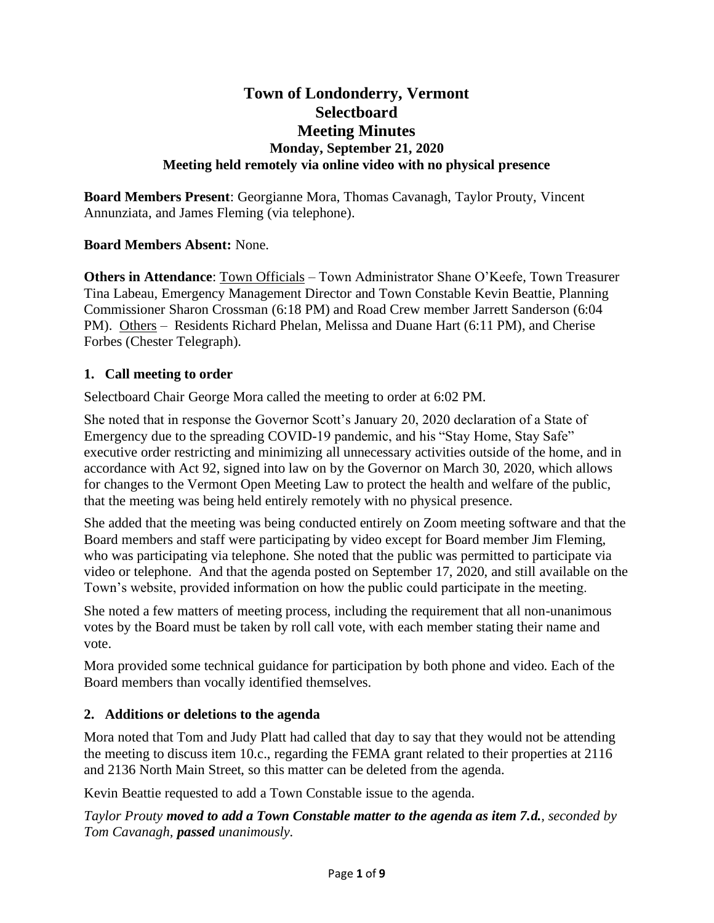# **Town of Londonderry, Vermont Selectboard Meeting Minutes Monday, September 21, 2020 Meeting held remotely via online video with no physical presence**

**Board Members Present**: Georgianne Mora, Thomas Cavanagh, Taylor Prouty, Vincent Annunziata, and James Fleming (via telephone).

### **Board Members Absent:** None.

**Others in Attendance**: Town Officials – Town Administrator Shane O'Keefe, Town Treasurer Tina Labeau, Emergency Management Director and Town Constable Kevin Beattie, Planning Commissioner Sharon Crossman (6:18 PM) and Road Crew member Jarrett Sanderson (6:04 PM). Others – Residents Richard Phelan, Melissa and Duane Hart (6:11 PM), and Cherise Forbes (Chester Telegraph).

### **1. Call meeting to order**

Selectboard Chair George Mora called the meeting to order at 6:02 PM.

She noted that in response the Governor Scott's January 20, 2020 declaration of a State of Emergency due to the spreading COVID-19 pandemic, and his "Stay Home, Stay Safe" executive order restricting and minimizing all unnecessary activities outside of the home, and in accordance with Act 92, signed into law on by the Governor on March 30, 2020, which allows for changes to the Vermont Open Meeting Law to protect the health and welfare of the public, that the meeting was being held entirely remotely with no physical presence.

She added that the meeting was being conducted entirely on Zoom meeting software and that the Board members and staff were participating by video except for Board member Jim Fleming, who was participating via telephone. She noted that the public was permitted to participate via video or telephone. And that the agenda posted on September 17, 2020, and still available on the Town's website, provided information on how the public could participate in the meeting.

She noted a few matters of meeting process, including the requirement that all non-unanimous votes by the Board must be taken by roll call vote, with each member stating their name and vote.

Mora provided some technical guidance for participation by both phone and video. Each of the Board members than vocally identified themselves.

## **2. Additions or deletions to the agenda**

Mora noted that Tom and Judy Platt had called that day to say that they would not be attending the meeting to discuss item 10.c., regarding the FEMA grant related to their properties at 2116 and 2136 North Main Street, so this matter can be deleted from the agenda.

Kevin Beattie requested to add a Town Constable issue to the agenda.

*Taylor Prouty moved to add a Town Constable matter to the agenda as item 7.d., seconded by Tom Cavanagh, passed unanimously.*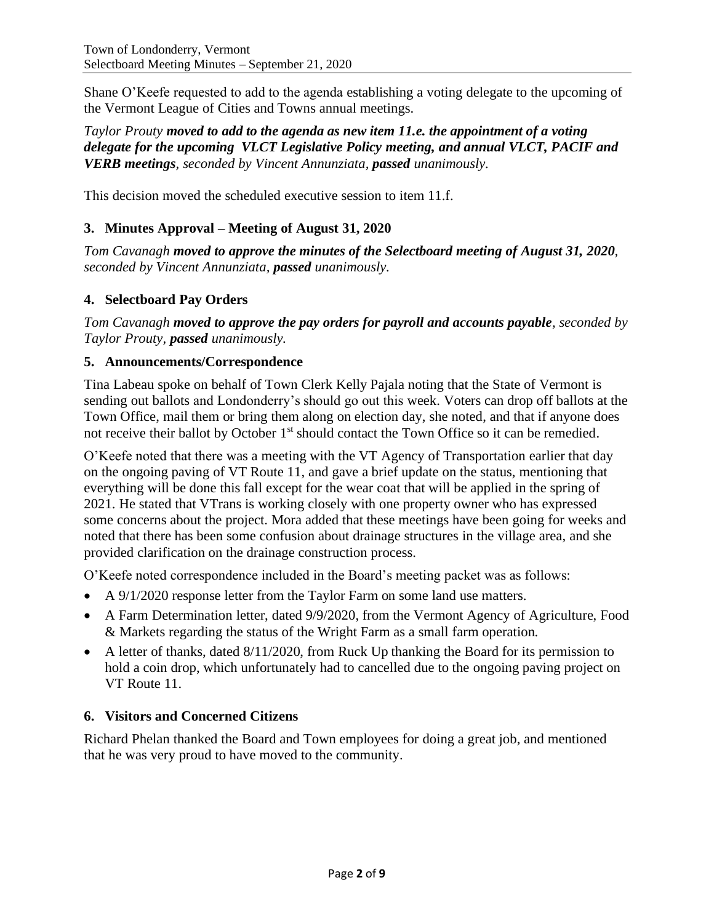Shane O'Keefe requested to add to the agenda establishing a voting delegate to the upcoming of the Vermont League of Cities and Towns annual meetings.

*Taylor Prouty moved to add to the agenda as new item 11.e. the appointment of a voting delegate for the upcoming VLCT Legislative Policy meeting, and annual VLCT, PACIF and VERB meetings, seconded by Vincent Annunziata, passed unanimously.*

This decision moved the scheduled executive session to item 11.f.

# **3. Minutes Approval – Meeting of August 31, 2020**

*Tom Cavanagh moved to approve the minutes of the Selectboard meeting of August 31, 2020, seconded by Vincent Annunziata, passed unanimously.*

# **4. Selectboard Pay Orders**

*Tom Cavanagh moved to approve the pay orders for payroll and accounts payable, seconded by Taylor Prouty, passed unanimously.*

## **5. Announcements/Correspondence**

Tina Labeau spoke on behalf of Town Clerk Kelly Pajala noting that the State of Vermont is sending out ballots and Londonderry's should go out this week. Voters can drop off ballots at the Town Office, mail them or bring them along on election day, she noted, and that if anyone does not receive their ballot by October 1<sup>st</sup> should contact the Town Office so it can be remedied.

O'Keefe noted that there was a meeting with the VT Agency of Transportation earlier that day on the ongoing paving of VT Route 11, and gave a brief update on the status, mentioning that everything will be done this fall except for the wear coat that will be applied in the spring of 2021. He stated that VTrans is working closely with one property owner who has expressed some concerns about the project. Mora added that these meetings have been going for weeks and noted that there has been some confusion about drainage structures in the village area, and she provided clarification on the drainage construction process.

O'Keefe noted correspondence included in the Board's meeting packet was as follows:

- A 9/1/2020 response letter from the Taylor Farm on some land use matters.
- A Farm Determination letter, dated 9/9/2020, from the Vermont Agency of Agriculture, Food & Markets regarding the status of the Wright Farm as a small farm operation.
- A letter of thanks, dated 8/11/2020, from Ruck Up thanking the Board for its permission to hold a coin drop, which unfortunately had to cancelled due to the ongoing paving project on VT Route 11.

## **6. Visitors and Concerned Citizens**

Richard Phelan thanked the Board and Town employees for doing a great job, and mentioned that he was very proud to have moved to the community.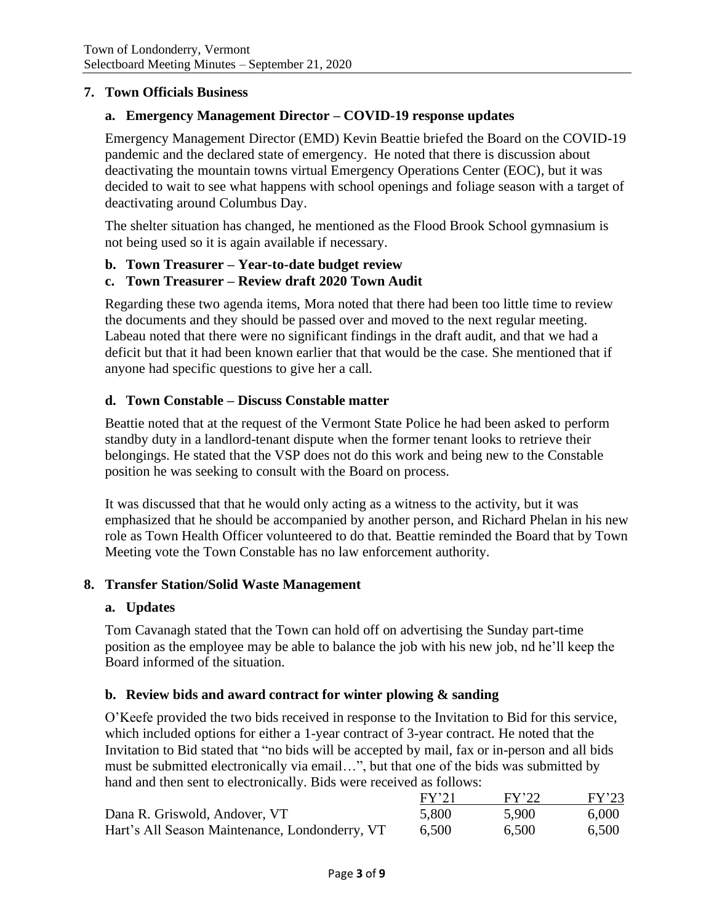### **7. Town Officials Business**

### **a. Emergency Management Director – COVID-19 response updates**

Emergency Management Director (EMD) Kevin Beattie briefed the Board on the COVID-19 pandemic and the declared state of emergency. He noted that there is discussion about deactivating the mountain towns virtual Emergency Operations Center (EOC), but it was decided to wait to see what happens with school openings and foliage season with a target of deactivating around Columbus Day.

The shelter situation has changed, he mentioned as the Flood Brook School gymnasium is not being used so it is again available if necessary.

### **b. Town Treasurer – Year-to-date budget review**

### **c. Town Treasurer – Review draft 2020 Town Audit**

Regarding these two agenda items, Mora noted that there had been too little time to review the documents and they should be passed over and moved to the next regular meeting. Labeau noted that there were no significant findings in the draft audit, and that we had a deficit but that it had been known earlier that that would be the case. She mentioned that if anyone had specific questions to give her a call.

### **d. Town Constable – Discuss Constable matter**

Beattie noted that at the request of the Vermont State Police he had been asked to perform standby duty in a landlord-tenant dispute when the former tenant looks to retrieve their belongings. He stated that the VSP does not do this work and being new to the Constable position he was seeking to consult with the Board on process.

It was discussed that that he would only acting as a witness to the activity, but it was emphasized that he should be accompanied by another person, and Richard Phelan in his new role as Town Health Officer volunteered to do that. Beattie reminded the Board that by Town Meeting vote the Town Constable has no law enforcement authority.

#### **8. Transfer Station/Solid Waste Management**

#### **a. Updates**

Tom Cavanagh stated that the Town can hold off on advertising the Sunday part-time position as the employee may be able to balance the job with his new job, nd he'll keep the Board informed of the situation.

#### **b. Review bids and award contract for winter plowing & sanding**

O'Keefe provided the two bids received in response to the Invitation to Bid for this service, which included options for either a 1-year contract of 3-year contract. He noted that the Invitation to Bid stated that "no bids will be accepted by mail, fax or in-person and all bids must be submitted electronically via email…", but that one of the bids was submitted by hand and then sent to electronically. Bids were received as follows:

|                                                | FY'21 | FY'22 | FY'23 |
|------------------------------------------------|-------|-------|-------|
| Dana R. Griswold, Andover, VT                  | 5,800 | 5.900 | 6,000 |
| Hart's All Season Maintenance, Londonderry, VT | 6,500 | 6,500 | 6,500 |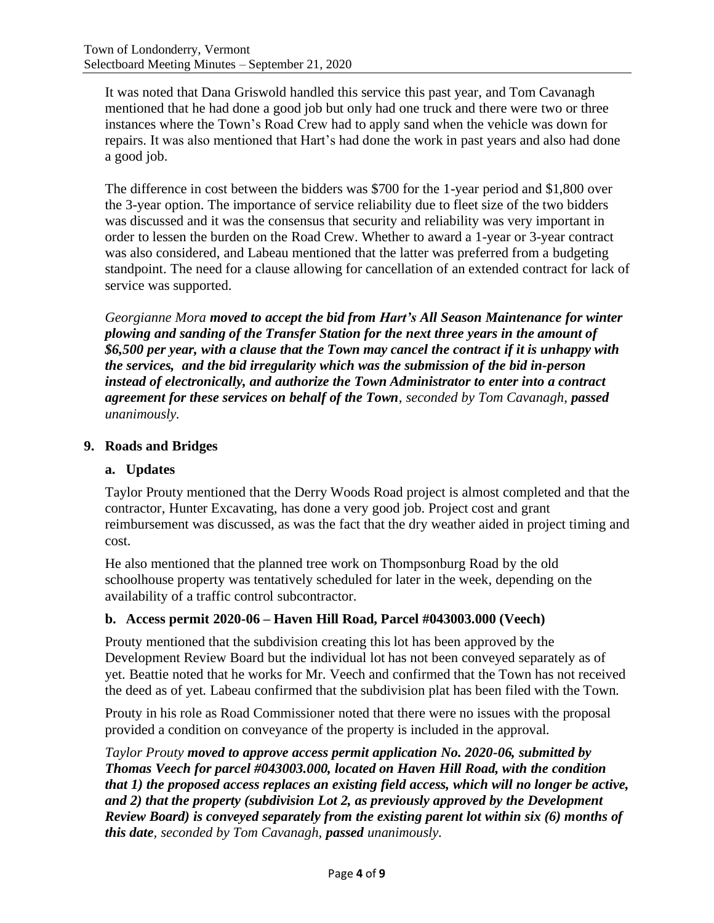It was noted that Dana Griswold handled this service this past year, and Tom Cavanagh mentioned that he had done a good job but only had one truck and there were two or three instances where the Town's Road Crew had to apply sand when the vehicle was down for repairs. It was also mentioned that Hart's had done the work in past years and also had done a good job.

The difference in cost between the bidders was \$700 for the 1-year period and \$1,800 over the 3-year option. The importance of service reliability due to fleet size of the two bidders was discussed and it was the consensus that security and reliability was very important in order to lessen the burden on the Road Crew. Whether to award a 1-year or 3-year contract was also considered, and Labeau mentioned that the latter was preferred from a budgeting standpoint. The need for a clause allowing for cancellation of an extended contract for lack of service was supported.

*Georgianne Mora moved to accept the bid from Hart's All Season Maintenance for winter plowing and sanding of the Transfer Station for the next three years in the amount of \$6,500 per year, with a clause that the Town may cancel the contract if it is unhappy with the services, and the bid irregularity which was the submission of the bid in-person instead of electronically, and authorize the Town Administrator to enter into a contract agreement for these services on behalf of the Town, seconded by Tom Cavanagh, passed unanimously.*

## **9. Roads and Bridges**

# **a. Updates**

Taylor Prouty mentioned that the Derry Woods Road project is almost completed and that the contractor, Hunter Excavating, has done a very good job. Project cost and grant reimbursement was discussed, as was the fact that the dry weather aided in project timing and cost.

He also mentioned that the planned tree work on Thompsonburg Road by the old schoolhouse property was tentatively scheduled for later in the week, depending on the availability of a traffic control subcontractor.

## **b. Access permit 2020-06 – Haven Hill Road, Parcel #043003.000 (Veech)**

Prouty mentioned that the subdivision creating this lot has been approved by the Development Review Board but the individual lot has not been conveyed separately as of yet. Beattie noted that he works for Mr. Veech and confirmed that the Town has not received the deed as of yet. Labeau confirmed that the subdivision plat has been filed with the Town.

Prouty in his role as Road Commissioner noted that there were no issues with the proposal provided a condition on conveyance of the property is included in the approval.

*Taylor Prouty moved to approve access permit application No. 2020-06, submitted by Thomas Veech for parcel #043003.000, located on Haven Hill Road, with the condition that 1) the proposed access replaces an existing field access, which will no longer be active, and 2) that the property (subdivision Lot 2, as previously approved by the Development Review Board) is conveyed separately from the existing parent lot within six (6) months of this date, seconded by Tom Cavanagh, passed unanimously.*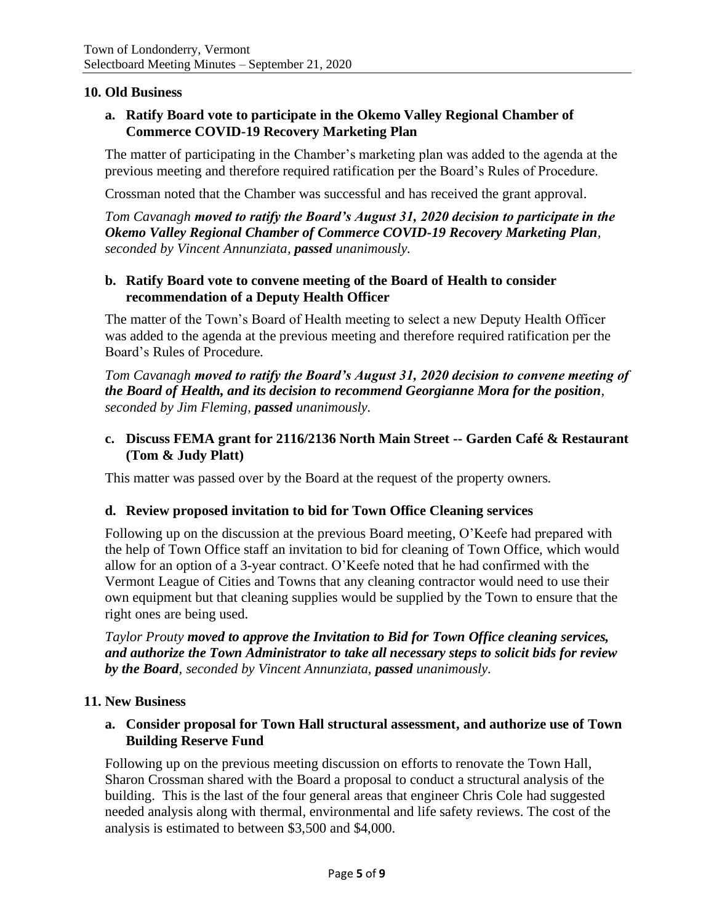### **10. Old Business**

### **a. Ratify Board vote to participate in the Okemo Valley Regional Chamber of Commerce COVID-19 Recovery Marketing Plan**

The matter of participating in the Chamber's marketing plan was added to the agenda at the previous meeting and therefore required ratification per the Board's Rules of Procedure.

Crossman noted that the Chamber was successful and has received the grant approval.

*Tom Cavanagh moved to ratify the Board's August 31, 2020 decision to participate in the Okemo Valley Regional Chamber of Commerce COVID-19 Recovery Marketing Plan, seconded by Vincent Annunziata, passed unanimously.*

### **b. Ratify Board vote to convene meeting of the Board of Health to consider recommendation of a Deputy Health Officer**

The matter of the Town's Board of Health meeting to select a new Deputy Health Officer was added to the agenda at the previous meeting and therefore required ratification per the Board's Rules of Procedure.

*Tom Cavanagh moved to ratify the Board's August 31, 2020 decision to convene meeting of the Board of Health, and its decision to recommend Georgianne Mora for the position, seconded by Jim Fleming, passed unanimously.*

### **c. Discuss FEMA grant for 2116/2136 North Main Street -- Garden Café & Restaurant (Tom & Judy Platt)**

This matter was passed over by the Board at the request of the property owners.

#### **d. Review proposed invitation to bid for Town Office Cleaning services**

Following up on the discussion at the previous Board meeting, O'Keefe had prepared with the help of Town Office staff an invitation to bid for cleaning of Town Office, which would allow for an option of a 3-year contract. O'Keefe noted that he had confirmed with the Vermont League of Cities and Towns that any cleaning contractor would need to use their own equipment but that cleaning supplies would be supplied by the Town to ensure that the right ones are being used.

*Taylor Prouty moved to approve the Invitation to Bid for Town Office cleaning services, and authorize the Town Administrator to take all necessary steps to solicit bids for review by the Board, seconded by Vincent Annunziata, passed unanimously.*

#### **11. New Business**

### **a. Consider proposal for Town Hall structural assessment, and authorize use of Town Building Reserve Fund**

Following up on the previous meeting discussion on efforts to renovate the Town Hall, Sharon Crossman shared with the Board a proposal to conduct a structural analysis of the building. This is the last of the four general areas that engineer Chris Cole had suggested needed analysis along with thermal, environmental and life safety reviews. The cost of the analysis is estimated to between \$3,500 and \$4,000.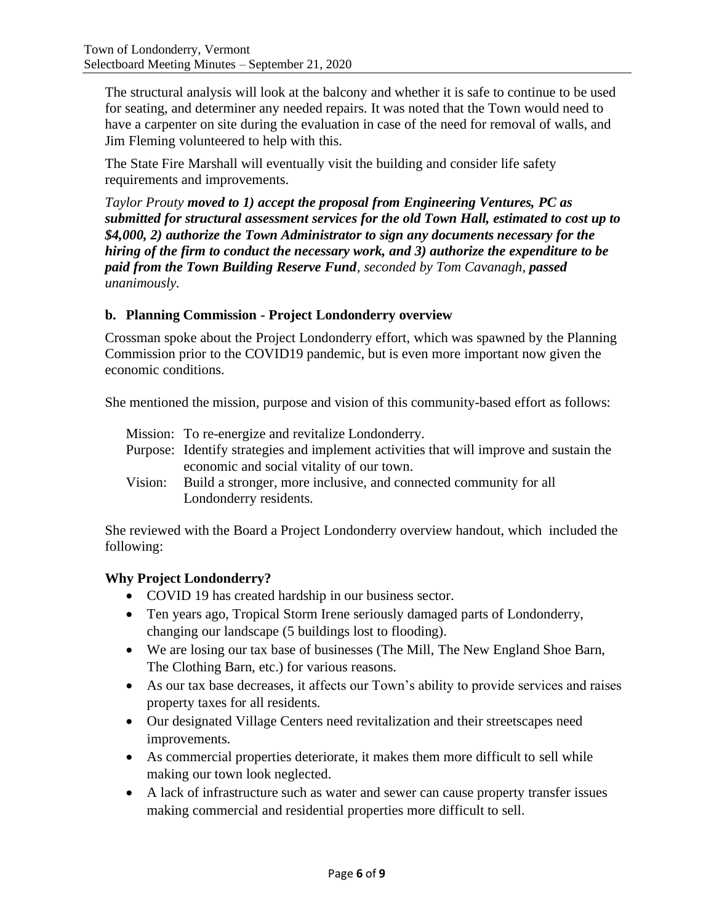The structural analysis will look at the balcony and whether it is safe to continue to be used for seating, and determiner any needed repairs. It was noted that the Town would need to have a carpenter on site during the evaluation in case of the need for removal of walls, and Jim Fleming volunteered to help with this.

The State Fire Marshall will eventually visit the building and consider life safety requirements and improvements.

*Taylor Prouty moved to 1) accept the proposal from Engineering Ventures, PC as submitted for structural assessment services for the old Town Hall, estimated to cost up to \$4,000, 2) authorize the Town Administrator to sign any documents necessary for the hiring of the firm to conduct the necessary work, and 3) authorize the expenditure to be paid from the Town Building Reserve Fund, seconded by Tom Cavanagh, passed unanimously.*

## **b. Planning Commission - Project Londonderry overview**

Crossman spoke about the Project Londonderry effort, which was spawned by the Planning Commission prior to the COVID19 pandemic, but is even more important now given the economic conditions.

She mentioned the mission, purpose and vision of this community-based effort as follows:

- Mission: To re-energize and revitalize Londonderry.
- Purpose: Identify strategies and implement activities that will improve and sustain the economic and social vitality of our town.
- Vision: Build a stronger, more inclusive, and connected community for all Londonderry residents.

She reviewed with the Board a Project Londonderry overview handout, which included the following:

## **Why Project Londonderry?**

- COVID 19 has created hardship in our business sector.
- Ten years ago, Tropical Storm Irene seriously damaged parts of Londonderry, changing our landscape (5 buildings lost to flooding).
- We are losing our tax base of businesses (The Mill, The New England Shoe Barn, The Clothing Barn, etc.) for various reasons.
- As our tax base decreases, it affects our Town's ability to provide services and raises property taxes for all residents.
- Our designated Village Centers need revitalization and their streetscapes need improvements.
- As commercial properties deteriorate, it makes them more difficult to sell while making our town look neglected.
- A lack of infrastructure such as water and sewer can cause property transfer issues making commercial and residential properties more difficult to sell.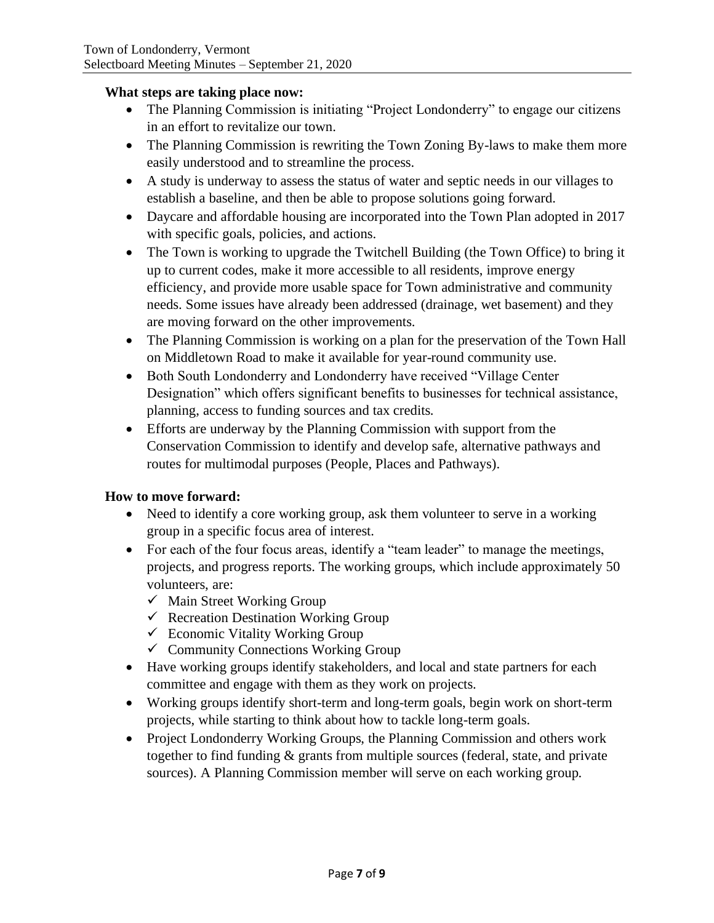#### **What steps are taking place now:**

- The Planning Commission is initiating "Project Londonderry" to engage our citizens in an effort to revitalize our town.
- The Planning Commission is rewriting the Town Zoning By-laws to make them more easily understood and to streamline the process.
- A study is underway to assess the status of water and septic needs in our villages to establish a baseline, and then be able to propose solutions going forward.
- Daycare and affordable housing are incorporated into the Town Plan adopted in 2017 with specific goals, policies, and actions.
- The Town is working to upgrade the Twitchell Building (the Town Office) to bring it up to current codes, make it more accessible to all residents, improve energy efficiency, and provide more usable space for Town administrative and community needs. Some issues have already been addressed (drainage, wet basement) and they are moving forward on the other improvements.
- The Planning Commission is working on a plan for the preservation of the Town Hall on Middletown Road to make it available for year-round community use.
- Both South Londonderry and Londonderry have received "Village Center Designation" which offers significant benefits to businesses for technical assistance, planning, access to funding sources and tax credits.
- Efforts are underway by the Planning Commission with support from the Conservation Commission to identify and develop safe, alternative pathways and routes for multimodal purposes (People, Places and Pathways).

## **How to move forward:**

- Need to identify a core working group, ask them volunteer to serve in a working group in a specific focus area of interest.
- For each of the four focus areas, identify a "team leader" to manage the meetings, projects, and progress reports. The working groups, which include approximately 50 volunteers, are:
	- $\checkmark$  Main Street Working Group
	- $\checkmark$  Recreation Destination Working Group
	- $\checkmark$  Economic Vitality Working Group
	- $\checkmark$  Community Connections Working Group
- Have working groups identify stakeholders, and local and state partners for each committee and engage with them as they work on projects.
- Working groups identify short-term and long-term goals, begin work on short-term projects, while starting to think about how to tackle long-term goals.
- Project Londonderry Working Groups, the Planning Commission and others work together to find funding & grants from multiple sources (federal, state, and private sources). A Planning Commission member will serve on each working group.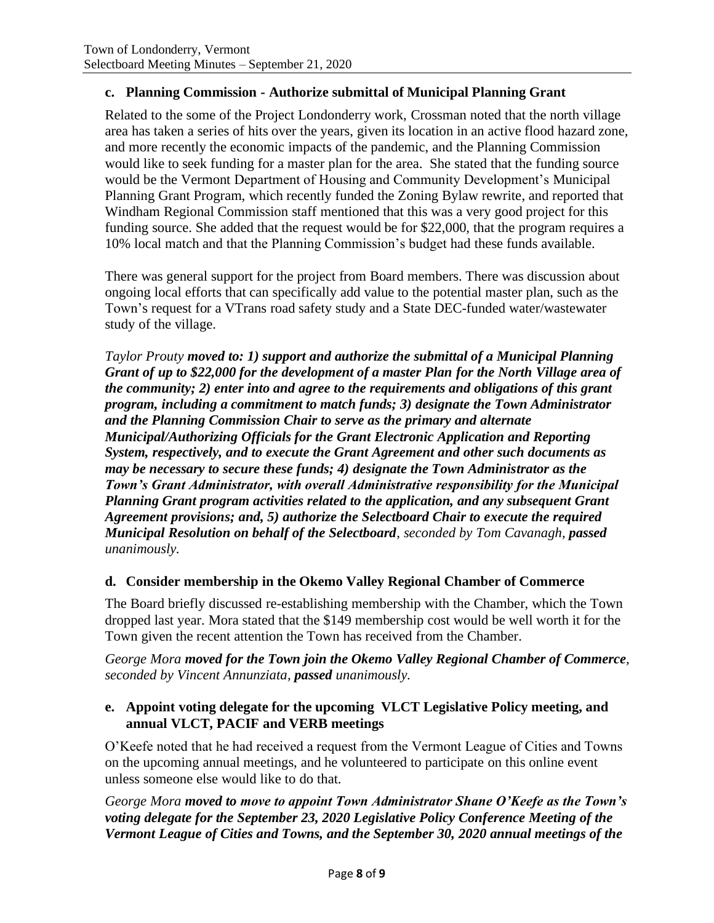## **c. Planning Commission - Authorize submittal of Municipal Planning Grant**

Related to the some of the Project Londonderry work, Crossman noted that the north village area has taken a series of hits over the years, given its location in an active flood hazard zone, and more recently the economic impacts of the pandemic, and the Planning Commission would like to seek funding for a master plan for the area. She stated that the funding source would be the Vermont Department of Housing and Community Development's Municipal Planning Grant Program, which recently funded the Zoning Bylaw rewrite, and reported that Windham Regional Commission staff mentioned that this was a very good project for this funding source. She added that the request would be for \$22,000, that the program requires a 10% local match and that the Planning Commission's budget had these funds available.

There was general support for the project from Board members. There was discussion about ongoing local efforts that can specifically add value to the potential master plan, such as the Town's request for a VTrans road safety study and a State DEC-funded water/wastewater study of the village.

*Taylor Prouty moved to: 1) support and authorize the submittal of a Municipal Planning Grant of up to \$22,000 for the development of a master Plan for the North Village area of the community; 2) enter into and agree to the requirements and obligations of this grant program, including a commitment to match funds; 3) designate the Town Administrator and the Planning Commission Chair to serve as the primary and alternate Municipal/Authorizing Officials for the Grant Electronic Application and Reporting System, respectively, and to execute the Grant Agreement and other such documents as may be necessary to secure these funds; 4) designate the Town Administrator as the Town's Grant Administrator, with overall Administrative responsibility for the Municipal Planning Grant program activities related to the application, and any subsequent Grant Agreement provisions; and, 5) authorize the Selectboard Chair to execute the required Municipal Resolution on behalf of the Selectboard, seconded by Tom Cavanagh, passed unanimously.*

## **d. Consider membership in the Okemo Valley Regional Chamber of Commerce**

The Board briefly discussed re-establishing membership with the Chamber, which the Town dropped last year. Mora stated that the \$149 membership cost would be well worth it for the Town given the recent attention the Town has received from the Chamber.

*George Mora moved for the Town join the Okemo Valley Regional Chamber of Commerce, seconded by Vincent Annunziata, passed unanimously.*

# **e. Appoint voting delegate for the upcoming VLCT Legislative Policy meeting, and annual VLCT, PACIF and VERB meetings**

O'Keefe noted that he had received a request from the Vermont League of Cities and Towns on the upcoming annual meetings, and he volunteered to participate on this online event unless someone else would like to do that.

*George Mora moved to move to appoint Town Administrator Shane O'Keefe as the Town's voting delegate for the September 23, 2020 Legislative Policy Conference Meeting of the Vermont League of Cities and Towns, and the September 30, 2020 annual meetings of the*